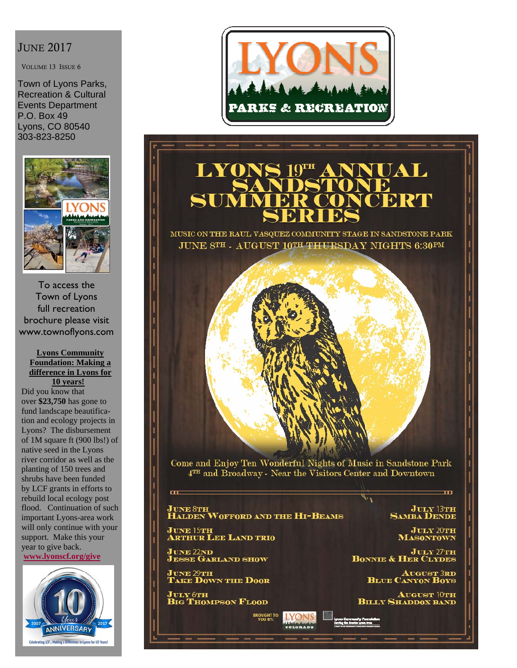#### JUNE 2017

VOLUME 13 ISSUE 6

Town of Lyons Parks, Recreation & Cultural Events Department P.O. Box 49 Lyons, CO 80540 303-823-8250



To access the Town of Lyons full recreation brochure please visit www.townoflyons.com

#### **Lyons Community Foundation: Making a difference in Lyons for 10 years!**

Did you know that over **\$23,750** has gone to fund landscape beautification and ecology projects in Lyons? The disbursement of 1M square ft (900 lbs!) of native seed in the Lyons river corridor as well as the planting of 150 trees and shrubs have been funded by LCF grants in efforts to rebuild local ecology post flood. Continuation of such important Lyons-area work will only continue with your support. Make this your year to give back. **www.lyonscf.org/give**





# **BRAD**

MUSIC ON THE RAUL VASQUEZ COMMUNITY STAGE IN SANDSTONE PARK JUNE 8TH . AUGUST 10TH THURSDAY NIGHTS 6:30PM



Come and Enjoy Ten Wonderful Nights of Music in Sandstone Park 4TH and Broadway - Near the Visitors Center and Downtown

## JUNE 8<mark>th</mark><br>Halden Wofford and the Hi-Beams

**BROUGHT TO**<br>YOU BY:

**IYONS** 

JUNE 15TH<br>Arthur Lee Land trio

June 22nd<br>Jesse Garland show

œ

JUNE 29<mark>th</mark><br>Take Down the Door

**July 6th<br>Big Thompson Flood** 

**JULY 13TH**<br>SAMBA DENDE

m

**JULY 20TH**<br>**MASONTOWN** 

JULY 27TH **BONNIE & HER CLYDES** 

**AUGUST 3RD**<br>**BLUE CANYON BOYS** 

**AUGUST 10TH<br>BILLY SHADDOX BAND**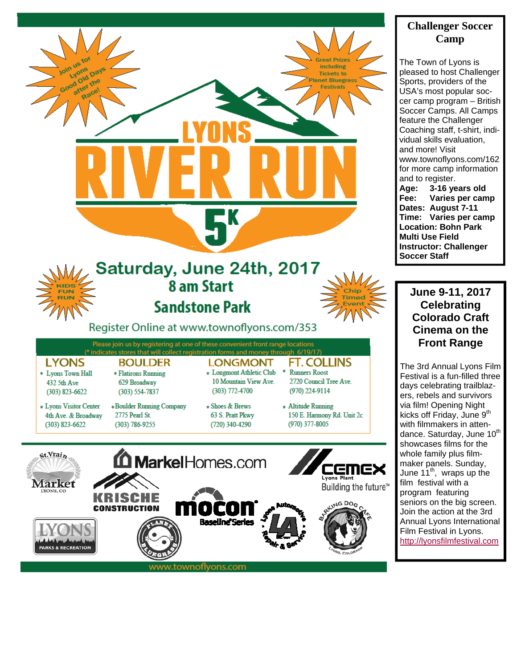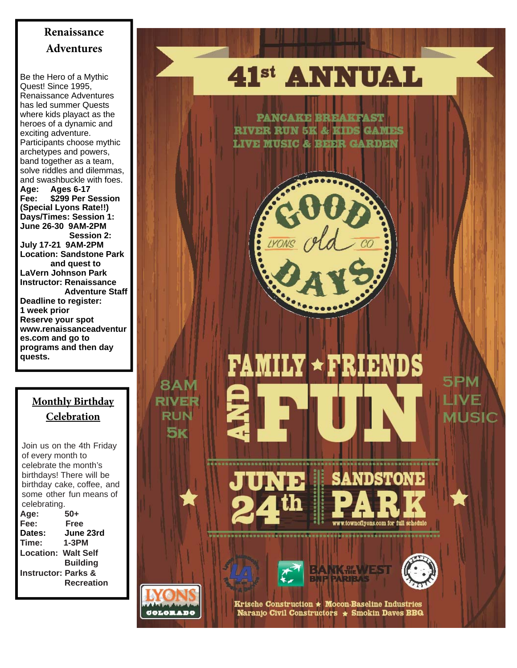## **Renaissance Adventures**

Be the Hero of a Mythic Quest! Since 1995, Renaissance Adventures has led summer Quests where kids playact as the heroes of a dynamic and exciting adventure. Participants choose mythic archetypes and powers, band together as a team, solve riddles and dilemmas, and swashbuckle with foes. **Age: Ages 6-17 Fee: \$299 Per Session (Special Lyons Rate!!) Days/Times: Session 1: June 26-30 9AM-2PM Session 2: July 17-21 9AM-2PM Location: Sandstone Park and quest to LaVern Johnson Park Instructor: Renaissance Adventure Staff Deadline to register: 1 week prior Reserve your spot www.renaissanceadventur es.com and go to programs and then day quests.** 

## **Monthly Birthday Celebration**

Join us on the 4th Friday of every month to celebrate the month's birthdays! There will be birthday cake, coffee, and some other fun means of celebrating.

**Age: 50+ Fee: Free Dates: June 23rd Time: 1-3PM Location: Walt Self Building Instructor: Parks & Recreation** 

## 41<sup>st</sup> ANNUAL

**PANCAKE BREAKFAST RIVER RUN 5K & KIDS GAMES LIVE MUSIC & BEER GARDEN** 



## **FAMILY \* FRIENDS** 5PM VF RIVER 1USIO







**8AM** 

**RUN** 

5K

Krische Construction  $\star$  Mocon-Baseline Industries Naranjo Civil Constructors \* Smokin Daves BBQ